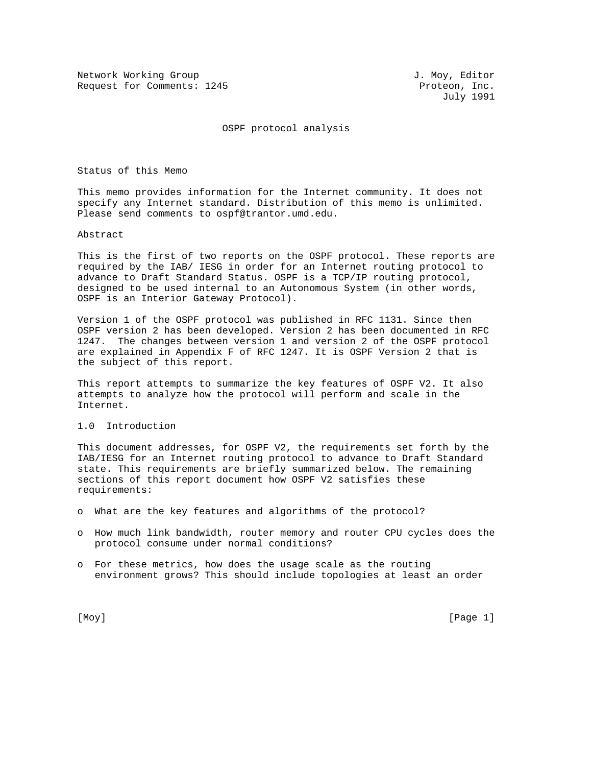Network Working Group and Months and Months J. Moy, Editor Request for Comments: 1245 Proteon, Inc.

July 1991

OSPF protocol analysis

Status of this Memo

This memo provides information for the Internet community. It does not specify any Internet standard. Distribution of this memo is unlimited. Please send comments to ospf@trantor.umd.edu.

Abstract

This is the first of two reports on the OSPF protocol. These reports are required by the IAB/ IESG in order for an Internet routing protocol to advance to Draft Standard Status. OSPF is a TCP/IP routing protocol, designed to be used internal to an Autonomous System (in other words, OSPF is an Interior Gateway Protocol).

Version 1 of the OSPF protocol was published in RFC 1131. Since then OSPF version 2 has been developed. Version 2 has been documented in RFC 1247. The changes between version 1 and version 2 of the OSPF protocol are explained in Appendix F of RFC 1247. It is OSPF Version 2 that is the subject of this report.

This report attempts to summarize the key features of OSPF V2. It also attempts to analyze how the protocol will perform and scale in the Internet.

# 1.0 Introduction

This document addresses, for OSPF V2, the requirements set forth by the IAB/IESG for an Internet routing protocol to advance to Draft Standard state. This requirements are briefly summarized below. The remaining sections of this report document how OSPF V2 satisfies these requirements:

- o What are the key features and algorithms of the protocol?
- o How much link bandwidth, router memory and router CPU cycles does the protocol consume under normal conditions?
- o For these metrics, how does the usage scale as the routing environment grows? This should include topologies at least an order

[Moy] [Page 1]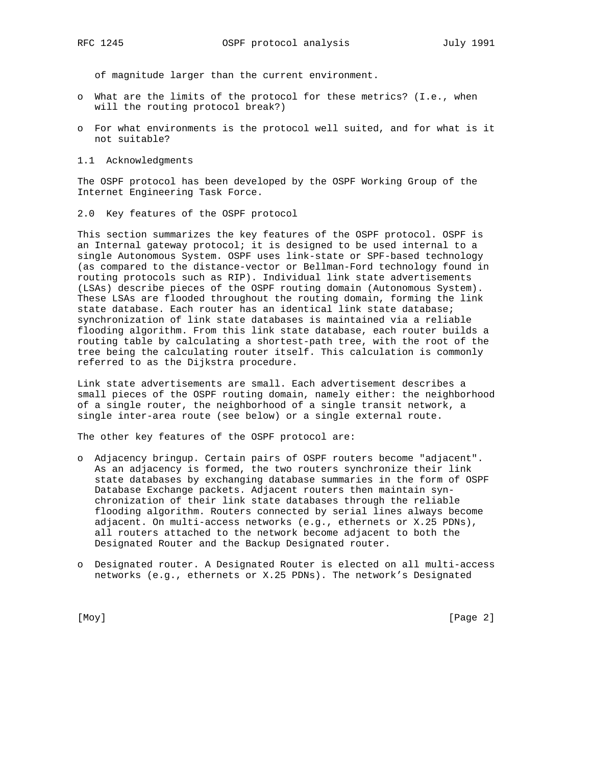of magnitude larger than the current environment.

- o What are the limits of the protocol for these metrics? (I.e., when will the routing protocol break?)
- o For what environments is the protocol well suited, and for what is it not suitable?
- 1.1 Acknowledgments

The OSPF protocol has been developed by the OSPF Working Group of the Internet Engineering Task Force.

2.0 Key features of the OSPF protocol

This section summarizes the key features of the OSPF protocol. OSPF is an Internal gateway protocol; it is designed to be used internal to a single Autonomous System. OSPF uses link-state or SPF-based technology (as compared to the distance-vector or Bellman-Ford technology found in routing protocols such as RIP). Individual link state advertisements (LSAs) describe pieces of the OSPF routing domain (Autonomous System). These LSAs are flooded throughout the routing domain, forming the link state database. Each router has an identical link state database; synchronization of link state databases is maintained via a reliable flooding algorithm. From this link state database, each router builds a routing table by calculating a shortest-path tree, with the root of the tree being the calculating router itself. This calculation is commonly referred to as the Dijkstra procedure.

Link state advertisements are small. Each advertisement describes a small pieces of the OSPF routing domain, namely either: the neighborhood of a single router, the neighborhood of a single transit network, a single inter-area route (see below) or a single external route.

The other key features of the OSPF protocol are:

- o Adjacency bringup. Certain pairs of OSPF routers become "adjacent". As an adjacency is formed, the two routers synchronize their link state databases by exchanging database summaries in the form of OSPF Database Exchange packets. Adjacent routers then maintain syn chronization of their link state databases through the reliable flooding algorithm. Routers connected by serial lines always become adjacent. On multi-access networks (e.g., ethernets or X.25 PDNs), all routers attached to the network become adjacent to both the Designated Router and the Backup Designated router.
- o Designated router. A Designated Router is elected on all multi-access networks (e.g., ethernets or X.25 PDNs). The network's Designated

[Moy] [Page 2]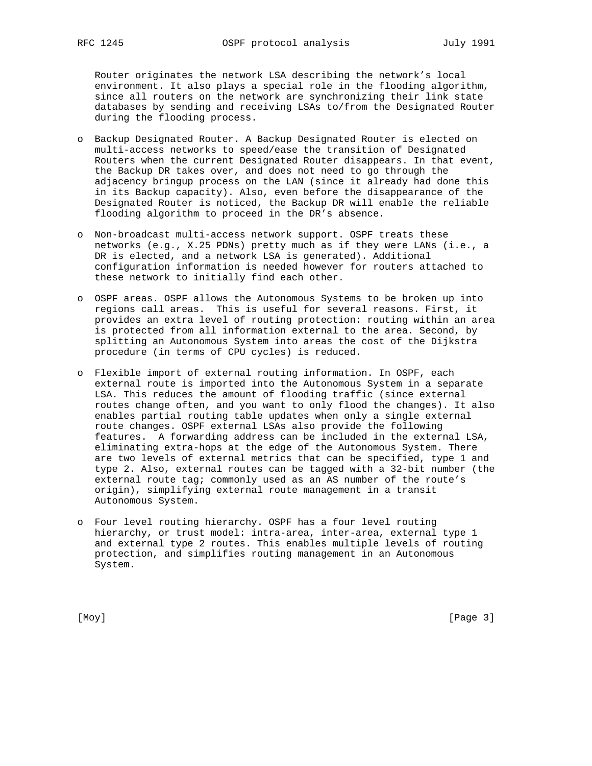Router originates the network LSA describing the network's local environment. It also plays a special role in the flooding algorithm, since all routers on the network are synchronizing their link state databases by sending and receiving LSAs to/from the Designated Router during the flooding process.

- o Backup Designated Router. A Backup Designated Router is elected on multi-access networks to speed/ease the transition of Designated Routers when the current Designated Router disappears. In that event, the Backup DR takes over, and does not need to go through the adjacency bringup process on the LAN (since it already had done this in its Backup capacity). Also, even before the disappearance of the Designated Router is noticed, the Backup DR will enable the reliable flooding algorithm to proceed in the DR's absence.
- o Non-broadcast multi-access network support. OSPF treats these networks (e.g., X.25 PDNs) pretty much as if they were LANs (i.e., a DR is elected, and a network LSA is generated). Additional configuration information is needed however for routers attached to these network to initially find each other.
- o OSPF areas. OSPF allows the Autonomous Systems to be broken up into regions call areas. This is useful for several reasons. First, it provides an extra level of routing protection: routing within an area is protected from all information external to the area. Second, by splitting an Autonomous System into areas the cost of the Dijkstra procedure (in terms of CPU cycles) is reduced.
- o Flexible import of external routing information. In OSPF, each external route is imported into the Autonomous System in a separate LSA. This reduces the amount of flooding traffic (since external routes change often, and you want to only flood the changes). It also enables partial routing table updates when only a single external route changes. OSPF external LSAs also provide the following features. A forwarding address can be included in the external LSA, eliminating extra-hops at the edge of the Autonomous System. There are two levels of external metrics that can be specified, type 1 and type 2. Also, external routes can be tagged with a 32-bit number (the external route tag; commonly used as an AS number of the route's origin), simplifying external route management in a transit Autonomous System.
- o Four level routing hierarchy. OSPF has a four level routing hierarchy, or trust model: intra-area, inter-area, external type 1 and external type 2 routes. This enables multiple levels of routing protection, and simplifies routing management in an Autonomous System.

[Moy] [Page 3]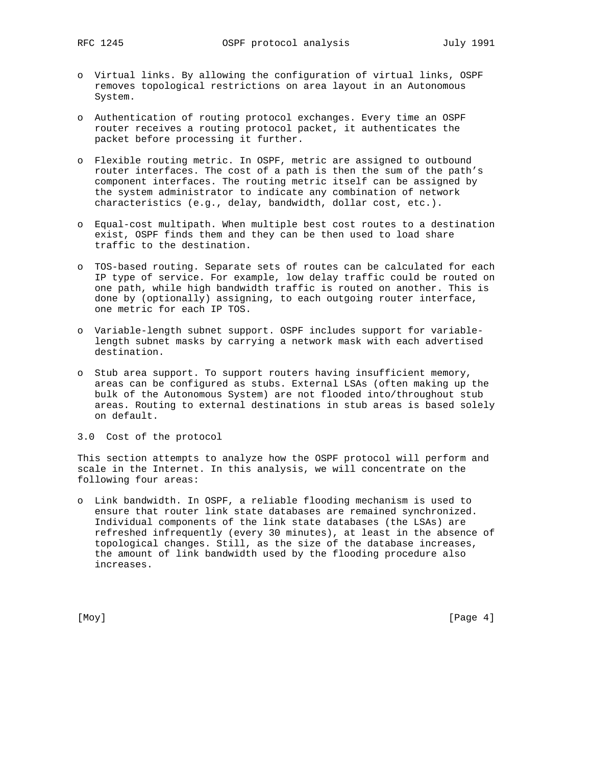- o Virtual links. By allowing the configuration of virtual links, OSPF removes topological restrictions on area layout in an Autonomous System.
- o Authentication of routing protocol exchanges. Every time an OSPF router receives a routing protocol packet, it authenticates the packet before processing it further.
- o Flexible routing metric. In OSPF, metric are assigned to outbound router interfaces. The cost of a path is then the sum of the path's component interfaces. The routing metric itself can be assigned by the system administrator to indicate any combination of network characteristics (e.g., delay, bandwidth, dollar cost, etc.).
- o Equal-cost multipath. When multiple best cost routes to a destination exist, OSPF finds them and they can be then used to load share traffic to the destination.
- o TOS-based routing. Separate sets of routes can be calculated for each IP type of service. For example, low delay traffic could be routed on one path, while high bandwidth traffic is routed on another. This is done by (optionally) assigning, to each outgoing router interface, one metric for each IP TOS.
- o Variable-length subnet support. OSPF includes support for variable length subnet masks by carrying a network mask with each advertised destination.
- o Stub area support. To support routers having insufficient memory, areas can be configured as stubs. External LSAs (often making up the bulk of the Autonomous System) are not flooded into/throughout stub areas. Routing to external destinations in stub areas is based solely on default.

## 3.0 Cost of the protocol

This section attempts to analyze how the OSPF protocol will perform and scale in the Internet. In this analysis, we will concentrate on the following four areas:

o Link bandwidth. In OSPF, a reliable flooding mechanism is used to ensure that router link state databases are remained synchronized. Individual components of the link state databases (the LSAs) are refreshed infrequently (every 30 minutes), at least in the absence of topological changes. Still, as the size of the database increases, the amount of link bandwidth used by the flooding procedure also increases.

[Moy] [Page 4]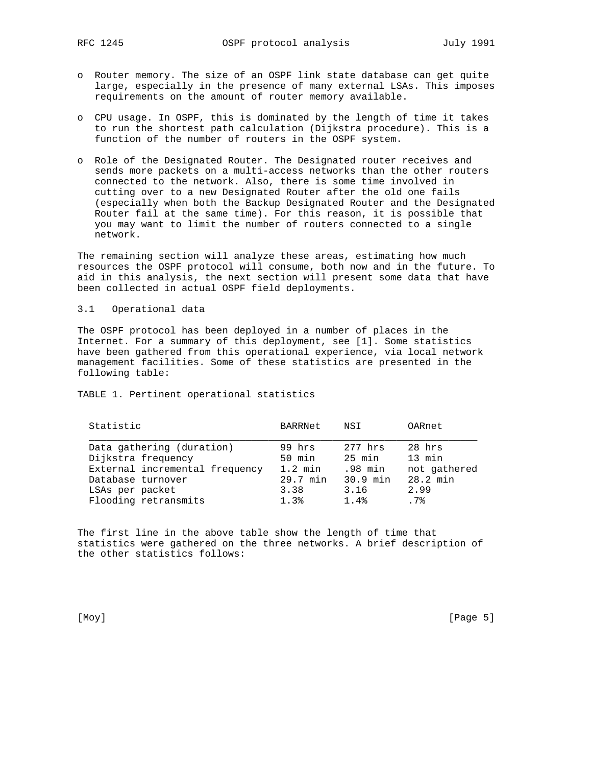- o Router memory. The size of an OSPF link state database can get quite large, especially in the presence of many external LSAs. This imposes requirements on the amount of router memory available.
- o CPU usage. In OSPF, this is dominated by the length of time it takes to run the shortest path calculation (Dijkstra procedure). This is a function of the number of routers in the OSPF system.
- o Role of the Designated Router. The Designated router receives and sends more packets on a multi-access networks than the other routers connected to the network. Also, there is some time involved in cutting over to a new Designated Router after the old one fails (especially when both the Backup Designated Router and the Designated Router fail at the same time). For this reason, it is possible that you may want to limit the number of routers connected to a single network.

The remaining section will analyze these areas, estimating how much resources the OSPF protocol will consume, both now and in the future. To aid in this analysis, the next section will present some data that have been collected in actual OSPF field deployments.

3.1 Operational data

The OSPF protocol has been deployed in a number of places in the Internet. For a summary of this deployment, see [1]. Some statistics have been gathered from this operational experience, via local network management facilities. Some of these statistics are presented in the following table:

TABLE 1. Pertinent operational statistics

| Statistic                      | BARRNet   | NSI      | OARnet       |
|--------------------------------|-----------|----------|--------------|
| Data gathering (duration)      | 99 hrs    | 277 hrs  | 28 hrs       |
| Dijkstra frequency             | $50$ min  | 25 min   | 13 min       |
| External incremental frequency | $1.2$ min | .98 min  | not gathered |
| Database turnover              | 29.7 min  | 30.9 min | 28.2 min     |
| LSAs per packet                | 3.38      | 3.16     | 2.99         |
| Flooding retransmits           | 1.3%      | 1.4%     | .7%          |

The first line in the above table show the length of time that statistics were gathered on the three networks. A brief description of the other statistics follows:

[Moy] [Page 5]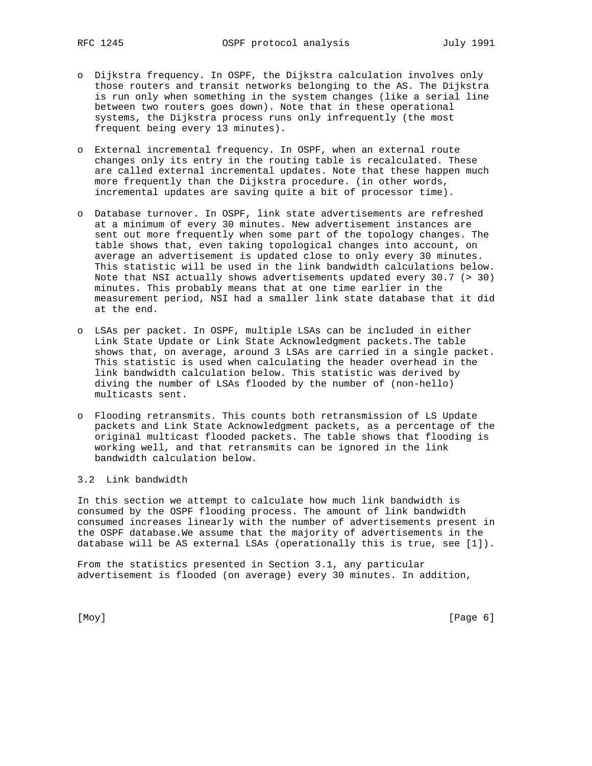- o Dijkstra frequency. In OSPF, the Dijkstra calculation involves only those routers and transit networks belonging to the AS. The Dijkstra is run only when something in the system changes (like a serial line between two routers goes down). Note that in these operational systems, the Dijkstra process runs only infrequently (the most frequent being every 13 minutes).
- o External incremental frequency. In OSPF, when an external route changes only its entry in the routing table is recalculated. These are called external incremental updates. Note that these happen much more frequently than the Dijkstra procedure. (in other words, incremental updates are saving quite a bit of processor time).
- o Database turnover. In OSPF, link state advertisements are refreshed at a minimum of every 30 minutes. New advertisement instances are sent out more frequently when some part of the topology changes. The table shows that, even taking topological changes into account, on average an advertisement is updated close to only every 30 minutes. This statistic will be used in the link bandwidth calculations below. Note that NSI actually shows advertisements updated every 30.7 (> 30) minutes. This probably means that at one time earlier in the measurement period, NSI had a smaller link state database that it did at the end.
- o LSAs per packet. In OSPF, multiple LSAs can be included in either Link State Update or Link State Acknowledgment packets.The table shows that, on average, around 3 LSAs are carried in a single packet. This statistic is used when calculating the header overhead in the link bandwidth calculation below. This statistic was derived by diving the number of LSAs flooded by the number of (non-hello) multicasts sent.
- o Flooding retransmits. This counts both retransmission of LS Update packets and Link State Acknowledgment packets, as a percentage of the original multicast flooded packets. The table shows that flooding is working well, and that retransmits can be ignored in the link bandwidth calculation below.

# 3.2 Link bandwidth

In this section we attempt to calculate how much link bandwidth is consumed by the OSPF flooding process. The amount of link bandwidth consumed increases linearly with the number of advertisements present in the OSPF database.We assume that the majority of advertisements in the database will be AS external LSAs (operationally this is true, see [1]).

From the statistics presented in Section 3.1, any particular advertisement is flooded (on average) every 30 minutes. In addition,

[Moy] [Page 6]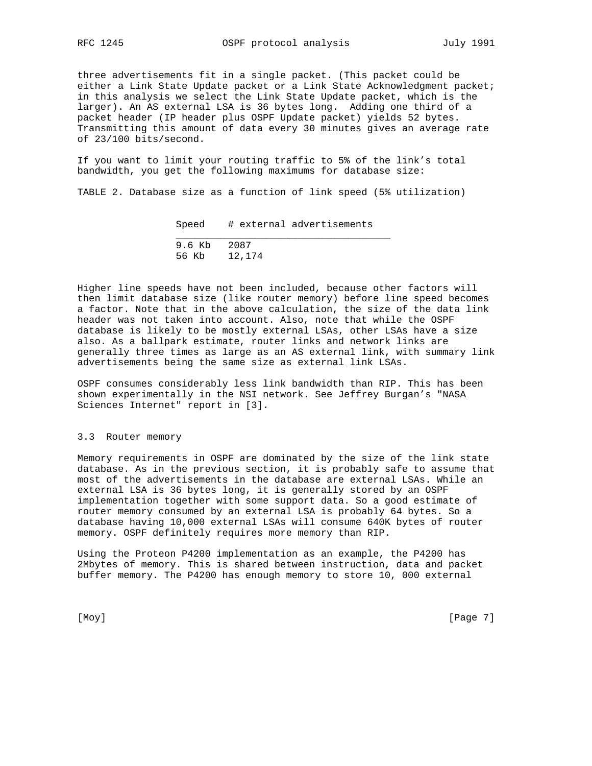three advertisements fit in a single packet. (This packet could be either a Link State Update packet or a Link State Acknowledgment packet; in this analysis we select the Link State Update packet, which is the larger). An AS external LSA is 36 bytes long. Adding one third of a packet header (IP header plus OSPF Update packet) yields 52 bytes. Transmitting this amount of data every 30 minutes gives an average rate of 23/100 bits/second.

If you want to limit your routing traffic to 5% of the link's total bandwidth, you get the following maximums for database size:

TABLE 2. Database size as a function of link speed (5% utilization)

Speed # external advertisements

| 9.6 Kb 2087  |  |
|--------------|--|
| 56 Kb 12,174 |  |

Higher line speeds have not been included, because other factors will then limit database size (like router memory) before line speed becomes a factor. Note that in the above calculation, the size of the data link header was not taken into account. Also, note that while the OSPF database is likely to be mostly external LSAs, other LSAs have a size also. As a ballpark estimate, router links and network links are generally three times as large as an AS external link, with summary link advertisements being the same size as external link LSAs.

OSPF consumes considerably less link bandwidth than RIP. This has been shown experimentally in the NSI network. See Jeffrey Burgan's "NASA Sciences Internet" report in [3].

## 3.3 Router memory

Memory requirements in OSPF are dominated by the size of the link state database. As in the previous section, it is probably safe to assume that most of the advertisements in the database are external LSAs. While an external LSA is 36 bytes long, it is generally stored by an OSPF implementation together with some support data. So a good estimate of router memory consumed by an external LSA is probably 64 bytes. So a database having 10,000 external LSAs will consume 640K bytes of router memory. OSPF definitely requires more memory than RIP.

Using the Proteon P4200 implementation as an example, the P4200 has 2Mbytes of memory. This is shared between instruction, data and packet buffer memory. The P4200 has enough memory to store 10, 000 external

[Moy] [Page 7]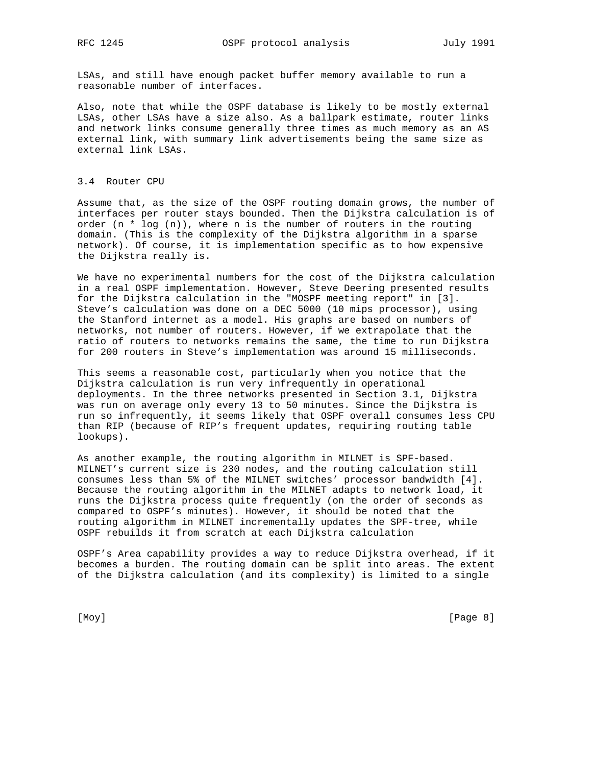LSAs, and still have enough packet buffer memory available to run a reasonable number of interfaces.

Also, note that while the OSPF database is likely to be mostly external LSAs, other LSAs have a size also. As a ballpark estimate, router links and network links consume generally three times as much memory as an AS external link, with summary link advertisements being the same size as external link LSAs.

#### 3.4 Router CPU

Assume that, as the size of the OSPF routing domain grows, the number of interfaces per router stays bounded. Then the Dijkstra calculation is of order  $(n * log (n))$ , where n is the number of routers in the routing domain. (This is the complexity of the Dijkstra algorithm in a sparse network). Of course, it is implementation specific as to how expensive the Dijkstra really is.

We have no experimental numbers for the cost of the Dijkstra calculation in a real OSPF implementation. However, Steve Deering presented results for the Dijkstra calculation in the "MOSPF meeting report" in [3]. Steve's calculation was done on a DEC 5000 (10 mips processor), using the Stanford internet as a model. His graphs are based on numbers of networks, not number of routers. However, if we extrapolate that the ratio of routers to networks remains the same, the time to run Dijkstra for 200 routers in Steve's implementation was around 15 milliseconds.

This seems a reasonable cost, particularly when you notice that the Dijkstra calculation is run very infrequently in operational deployments. In the three networks presented in Section 3.1, Dijkstra was run on average only every 13 to 50 minutes. Since the Dijkstra is run so infrequently, it seems likely that OSPF overall consumes less CPU than RIP (because of RIP's frequent updates, requiring routing table lookups).

As another example, the routing algorithm in MILNET is SPF-based. MILNET's current size is 230 nodes, and the routing calculation still consumes less than 5% of the MILNET switches' processor bandwidth [4]. Because the routing algorithm in the MILNET adapts to network load, it runs the Dijkstra process quite frequently (on the order of seconds as compared to OSPF's minutes). However, it should be noted that the routing algorithm in MILNET incrementally updates the SPF-tree, while OSPF rebuilds it from scratch at each Dijkstra calculation

OSPF's Area capability provides a way to reduce Dijkstra overhead, if it becomes a burden. The routing domain can be split into areas. The extent of the Dijkstra calculation (and its complexity) is limited to a single

[Moy] [Page 8]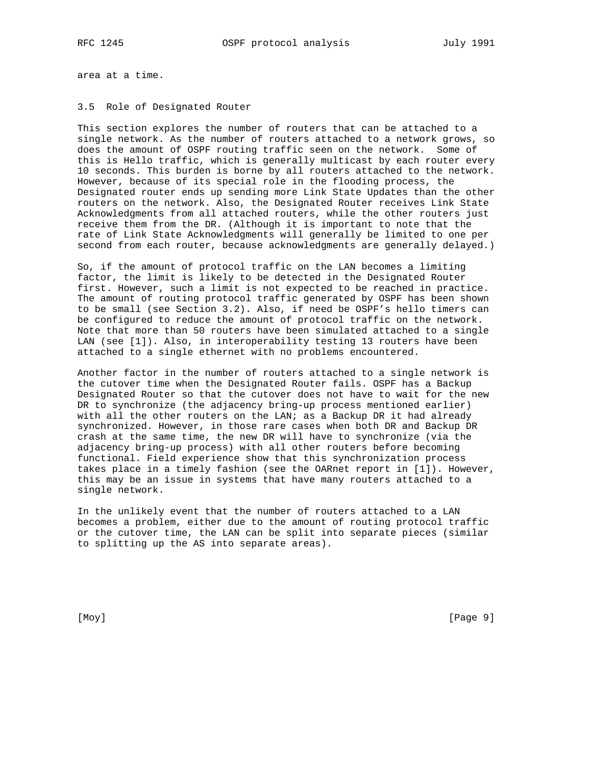area at a time.

## 3.5 Role of Designated Router

This section explores the number of routers that can be attached to a single network. As the number of routers attached to a network grows, so does the amount of OSPF routing traffic seen on the network. Some of this is Hello traffic, which is generally multicast by each router every 10 seconds. This burden is borne by all routers attached to the network. However, because of its special role in the flooding process, the Designated router ends up sending more Link State Updates than the other routers on the network. Also, the Designated Router receives Link State Acknowledgments from all attached routers, while the other routers just receive them from the DR. (Although it is important to note that the rate of Link State Acknowledgments will generally be limited to one per second from each router, because acknowledgments are generally delayed.)

So, if the amount of protocol traffic on the LAN becomes a limiting factor, the limit is likely to be detected in the Designated Router first. However, such a limit is not expected to be reached in practice. The amount of routing protocol traffic generated by OSPF has been shown to be small (see Section 3.2). Also, if need be OSPF's hello timers can be configured to reduce the amount of protocol traffic on the network. Note that more than 50 routers have been simulated attached to a single LAN (see [1]). Also, in interoperability testing 13 routers have been attached to a single ethernet with no problems encountered.

Another factor in the number of routers attached to a single network is the cutover time when the Designated Router fails. OSPF has a Backup Designated Router so that the cutover does not have to wait for the new DR to synchronize (the adjacency bring-up process mentioned earlier) with all the other routers on the LAN; as a Backup DR it had already synchronized. However, in those rare cases when both DR and Backup DR crash at the same time, the new DR will have to synchronize (via the adjacency bring-up process) with all other routers before becoming functional. Field experience show that this synchronization process takes place in a timely fashion (see the OARnet report in [1]). However, this may be an issue in systems that have many routers attached to a single network.

In the unlikely event that the number of routers attached to a LAN becomes a problem, either due to the amount of routing protocol traffic or the cutover time, the LAN can be split into separate pieces (similar to splitting up the AS into separate areas).

[Moy] [Page 9]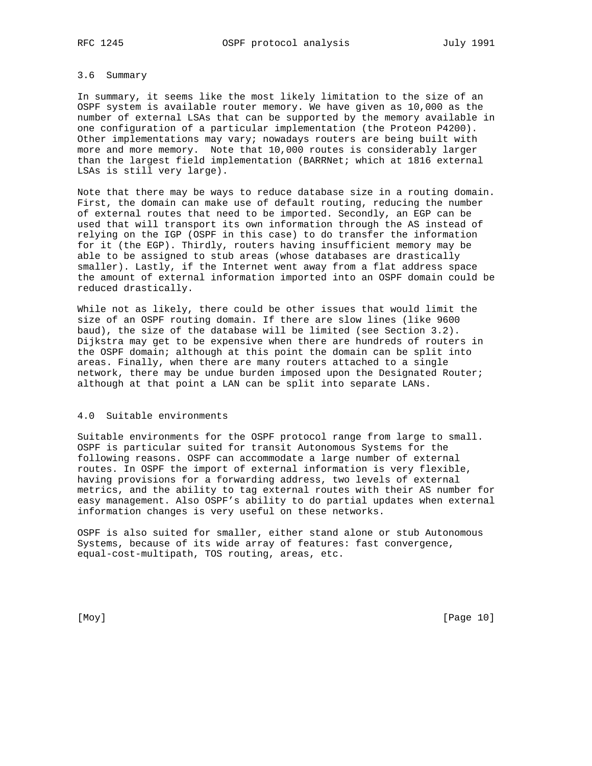## 3.6 Summary

In summary, it seems like the most likely limitation to the size of an OSPF system is available router memory. We have given as 10,000 as the number of external LSAs that can be supported by the memory available in one configuration of a particular implementation (the Proteon P4200). Other implementations may vary; nowadays routers are being built with more and more memory. Note that 10,000 routes is considerably larger than the largest field implementation (BARRNet; which at 1816 external LSAs is still very large).

Note that there may be ways to reduce database size in a routing domain. First, the domain can make use of default routing, reducing the number of external routes that need to be imported. Secondly, an EGP can be used that will transport its own information through the AS instead of relying on the IGP (OSPF in this case) to do transfer the information for it (the EGP). Thirdly, routers having insufficient memory may be able to be assigned to stub areas (whose databases are drastically smaller). Lastly, if the Internet went away from a flat address space the amount of external information imported into an OSPF domain could be reduced drastically.

While not as likely, there could be other issues that would limit the size of an OSPF routing domain. If there are slow lines (like 9600 baud), the size of the database will be limited (see Section 3.2). Dijkstra may get to be expensive when there are hundreds of routers in the OSPF domain; although at this point the domain can be split into areas. Finally, when there are many routers attached to a single network, there may be undue burden imposed upon the Designated Router; although at that point a LAN can be split into separate LANs.

#### 4.0 Suitable environments

Suitable environments for the OSPF protocol range from large to small. OSPF is particular suited for transit Autonomous Systems for the following reasons. OSPF can accommodate a large number of external routes. In OSPF the import of external information is very flexible, having provisions for a forwarding address, two levels of external metrics, and the ability to tag external routes with their AS number for easy management. Also OSPF's ability to do partial updates when external information changes is very useful on these networks.

OSPF is also suited for smaller, either stand alone or stub Autonomous Systems, because of its wide array of features: fast convergence, equal-cost-multipath, TOS routing, areas, etc.

[Moy] [Page 10]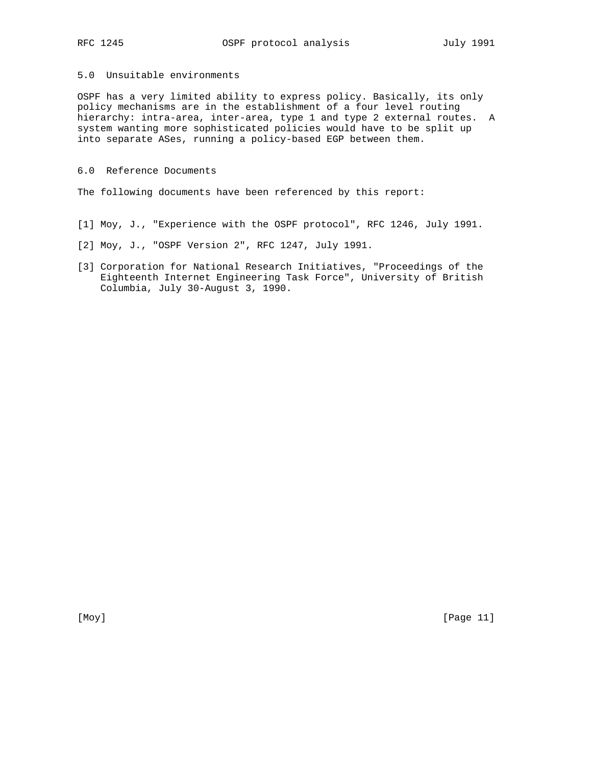# 5.0 Unsuitable environments

OSPF has a very limited ability to express policy. Basically, its only policy mechanisms are in the establishment of a four level routing hierarchy: intra-area, inter-area, type 1 and type 2 external routes. A system wanting more sophisticated policies would have to be split up into separate ASes, running a policy-based EGP between them.

# 6.0 Reference Documents

The following documents have been referenced by this report:

- [1] Moy, J., "Experience with the OSPF protocol", RFC 1246, July 1991.
- [2] Moy, J., "OSPF Version 2", RFC 1247, July 1991.
- [3] Corporation for National Research Initiatives, "Proceedings of the Eighteenth Internet Engineering Task Force", University of British Columbia, July 30-August 3, 1990.